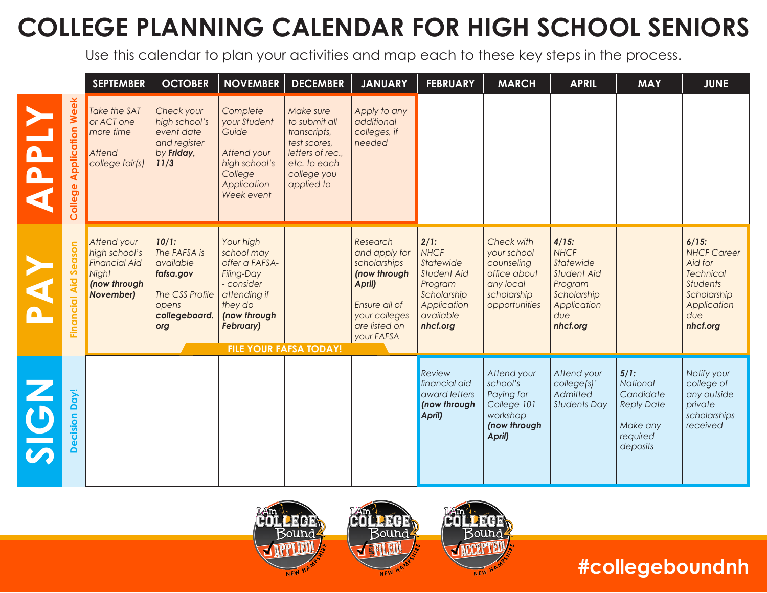## **COLLEGE PLANNING CALENDAR FOR HIGH SCHOOL SENIORS**

Use this calendar to plan your activities and map each to these key steps in the process.

|                                    | <b>SEPTEMBER</b>                                                                                  | <b>OCTOBER</b>                                                                                      | <b>NOVEMBER</b>                                                                                                                      | <b>DECEMBER</b>                                                                                                             | <b>JANUARY</b>                                                                                                                       | <b>FEBRUARY</b>                                                                                                   | <b>MARCH</b>                                                                                         | <b>APRIL</b>                                                                                                           | <b>MAY</b>                                                                             | <b>JUNE</b>                                                                                                                       |
|------------------------------------|---------------------------------------------------------------------------------------------------|-----------------------------------------------------------------------------------------------------|--------------------------------------------------------------------------------------------------------------------------------------|-----------------------------------------------------------------------------------------------------------------------------|--------------------------------------------------------------------------------------------------------------------------------------|-------------------------------------------------------------------------------------------------------------------|------------------------------------------------------------------------------------------------------|------------------------------------------------------------------------------------------------------------------------|----------------------------------------------------------------------------------------|-----------------------------------------------------------------------------------------------------------------------------------|
| <b>Application Week</b><br>College | Take the SAT<br>or ACT one<br>more time<br>Attend<br>college fair(s)                              | Check your<br>high school's<br>event date<br>and register<br>by Friday,<br>11/3                     | Complete<br>your Student<br>Guide<br>Attend your<br>high school's<br>College<br>Application<br>Week event                            | Make sure<br>to submit all<br>transcripts,<br>test scores,<br>letters of rec.,<br>etc. to each<br>college you<br>applied to | Apply to any<br>additional<br>colleges, if<br>needed                                                                                 |                                                                                                                   |                                                                                                      |                                                                                                                        |                                                                                        |                                                                                                                                   |
| ason<br>Ō<br>Ŭ<br>Aid<br>Financial | Attend your<br>high school's<br><b>Financial Aid</b><br>Night<br>(now through<br><b>November)</b> | 10/1:<br>The FAFSA is<br>available<br>fafsa.gov<br>The CSS Profile<br>opens<br>collegeboard.<br>org | Your high<br>school may<br>offer a FAFSA-<br>Filing-Day<br>- consider<br>attending if<br>they do<br>(now through<br><b>February)</b> | <b>FILE YOUR FAFSA TODAY!</b>                                                                                               | Research<br>and apply for<br>scholarships<br>(now through<br>April)<br>Ensure all of<br>your colleges<br>are listed on<br>your FAFSA | 2/1:<br><b>NHCF</b><br>Statewide<br>Student Aid<br>Program<br>Scholarship<br>Application<br>available<br>nhcf.org | Check with<br>your school<br>counseling<br>office about<br>any local<br>scholarship<br>opportunities | $4/15$ :<br><b>NHCF</b><br>Statewide<br><b>Student Aid</b><br>Program<br>Scholarship<br>Application<br>due<br>nhcf.org |                                                                                        | $6/15$ :<br><b>NHCF Career</b><br>Aid for<br><b>Technical</b><br><b>Students</b><br>Scholarship<br>Application<br>due<br>nhcf.org |
| Day!<br>cision<br><b>OC</b>        |                                                                                                   |                                                                                                     |                                                                                                                                      |                                                                                                                             |                                                                                                                                      | Review<br>financial aid<br>award letters<br>(now through<br>April)                                                | Attend your<br>school's<br>Paying for<br>College 101<br>workshop<br>(now through<br>April)           | Attend your<br>college(s)'<br>Admitted<br><b>Students Day</b>                                                          | 5/1:<br>National<br>Candidate<br><b>Reply Date</b><br>Make any<br>required<br>deposits | Notify your<br>college of<br>any outside<br>private<br>scholarships<br>received                                                   |



### **#collegeboundnh**